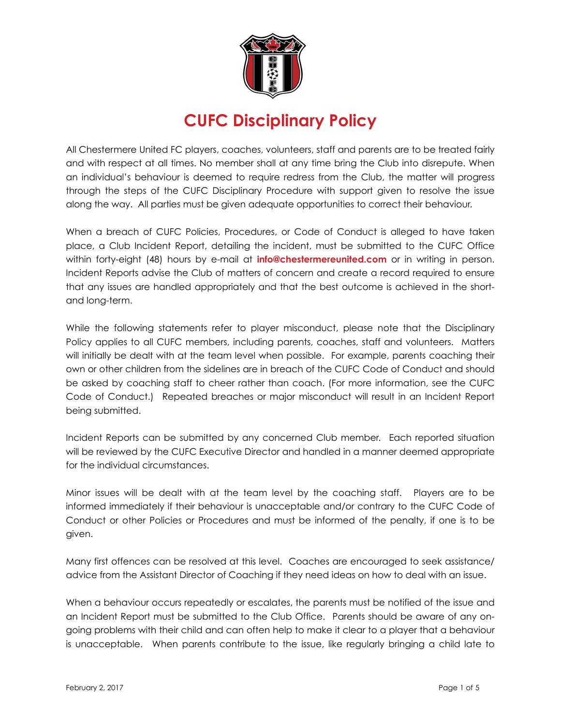

# **CUFC Disciplinary Policy**

All Chestermere United FC players, coaches, volunteers, staff and parents are to be treated fairly and with respect at all times. No member shall at any time bring the Club into disrepute. When an individual's behaviour is deemed to require redress from the Club, the matter will progress through the steps of the CUFC Disciplinary Procedure with support given to resolve the issue along the way. All parties must be given adequate opportunities to correct their behaviour.

When a breach of CUFC Policies, Procedures, or Code of Conduct is alleged to have taken place, a Club Incident Report, detailing the incident, must be submitted to the CUFC Office within forty-eight (48) hours by e-mail at **info@chestermereunited.com** or in writing in person. Incident Reports advise the Club of matters of concern and create a record required to ensure that any issues are handled appropriately and that the best outcome is achieved in the shortand long-term.

While the following statements refer to player misconduct, please note that the Disciplinary Policy applies to all CUFC members, including parents, coaches, staff and volunteers. Matters will initially be dealt with at the team level when possible. For example, parents coaching their own or other children from the sidelines are in breach of the CUFC Code of Conduct and should be asked by coaching staff to cheer rather than coach. (For more information, see the CUFC Code of Conduct.) Repeated breaches or major misconduct will result in an Incident Report being submitted.

Incident Reports can be submitted by any concerned Club member. Each reported situation will be reviewed by the CUFC Executive Director and handled in a manner deemed appropriate for the individual circumstances.

Minor issues will be dealt with at the team level by the coaching staff. Players are to be informed immediately if their behaviour is unacceptable and/or contrary to the CUFC Code of Conduct or other Policies or Procedures and must be informed of the penalty, if one is to be given.

Many first offences can be resolved at this level. Coaches are encouraged to seek assistance/ advice from the Assistant Director of Coaching if they need ideas on how to deal with an issue.

When a behaviour occurs repeatedly or escalates, the parents must be notified of the issue and an Incident Report must be submitted to the Club Office. Parents should be aware of any ongoing problems with their child and can often help to make it clear to a player that a behaviour is unacceptable. When parents contribute to the issue, like regularly bringing a child late to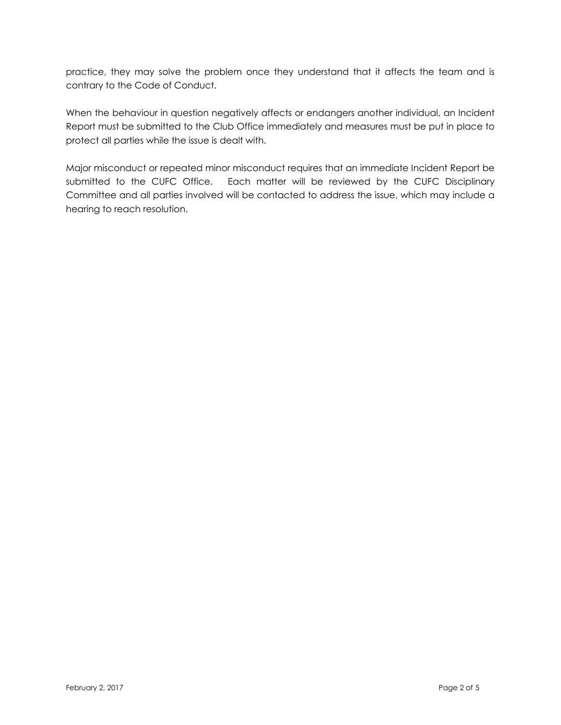practice, they may solve the problem once they understand that it affects the team and is contrary to the Code of Conduct.

When the behaviour in question negatively affects or endangers another individual, an Incident Report must be submitted to the Club Office immediately and measures must be put in place to protect all parties while the issue is dealt with.

Major misconduct or repeated minor misconduct requires that an immediate Incident Report be submitted to the CUFC Office. Each matter will be reviewed by the CUFC Disciplinary Committee and all parties involved will be contacted to address the issue, which may include a hearing to reach resolution.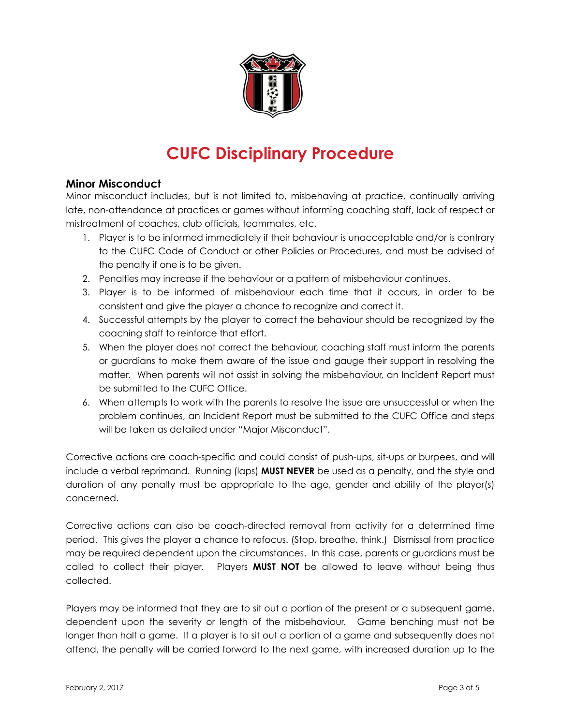

# **CUFC Disciplinary Procedure**

#### **Minor Misconduct**

Minor misconduct includes, but is not limited to, misbehaving at practice, continually arriving late, non-attendance at practices or games without informing coaching staff, lack of respect or mistreatment of coaches, club officials, teammates, etc.

- 1. Player is to be informed immediately if their behaviour is unacceptable and/or is contrary to the CUFC Code of Conduct or other Policies or Procedures, and must be advised of the penalty if one is to be given.
- 2. Penalties may increase if the behaviour or a pattern of misbehaviour continues.
- 3. Player is to be informed of misbehaviour each time that it occurs, in order to be consistent and give the player a chance to recognize and correct it.
- 4. Successful attempts by the player to correct the behaviour should be recognized by the coaching staff to reinforce that effort.
- 5. When the player does not correct the behaviour, coaching staff must inform the parents or guardians to make them aware of the issue and gauge their support in resolving the matter. When parents will not assist in solving the misbehaviour, an Incident Report must be submitted to the CUFC Office.
- 6. When attempts to work with the parents to resolve the issue are unsuccessful or when the problem continues, an Incident Report must be submitted to the CUFC Office and steps will be taken as detailed under "Major Misconduct".

Corrective actions are coach-specific and could consist of push-ups, sit-ups or burpees, and will include a verbal reprimand. Running (laps) **MUST NEVER** be used as a penalty, and the style and duration of any penalty must be appropriate to the age, gender and ability of the player(s) concerned.

Corrective actions can also be coach-directed removal from activity for a determined time period. This gives the player a chance to refocus. (Stop, breathe, think.) Dismissal from practice may be required dependent upon the circumstances. In this case, parents or guardians must be called to collect their player. Players **MUST NOT** be allowed to leave without being thus collected.

Players may be informed that they are to sit out a portion of the present or a subsequent game, dependent upon the severity or length of the misbehaviour. Game benching must not be longer than half a game. If a player is to sit out a portion of a game and subsequently does not attend, the penalty will be carried forward to the next game, with increased duration up to the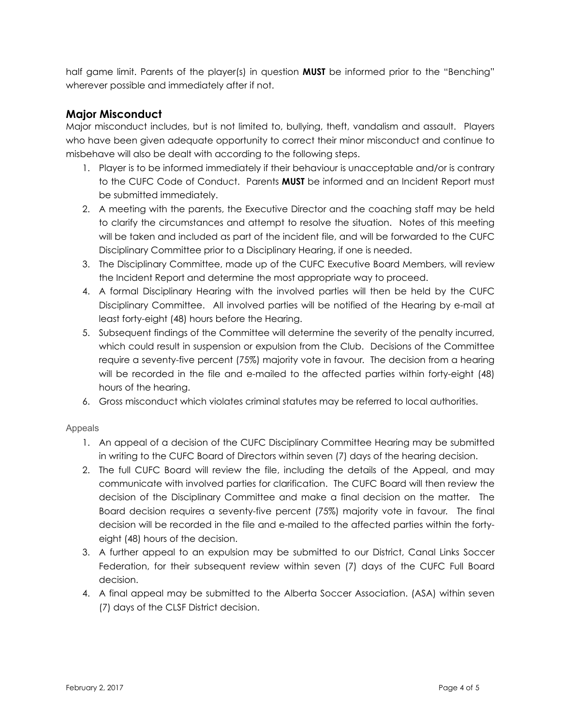half game limit. Parents of the player(s) in question **MUST** be informed prior to the "Benching" wherever possible and immediately after if not.

### **Major Misconduct**

Major misconduct includes, but is not limited to, bullying, theft, vandalism and assault. Players who have been given adequate opportunity to correct their minor misconduct and continue to misbehave will also be dealt with according to the following steps.

- 1. Player is to be informed immediately if their behaviour is unacceptable and/or is contrary to the CUFC Code of Conduct. Parents **MUST** be informed and an Incident Report must be submitted immediately.
- 2. A meeting with the parents, the Executive Director and the coaching staff may be held to clarify the circumstances and attempt to resolve the situation. Notes of this meeting will be taken and included as part of the incident file, and will be forwarded to the CUFC Disciplinary Committee prior to a Disciplinary Hearing, if one is needed.
- 3. The Disciplinary Committee, made up of the CUFC Executive Board Members, will review the Incident Report and determine the most appropriate way to proceed.
- 4. A formal Disciplinary Hearing with the involved parties will then be held by the CUFC Disciplinary Committee. All involved parties will be notified of the Hearing by e-mail at least forty-eight (48) hours before the Hearing.
- 5. Subsequent findings of the Committee will determine the severity of the penalty incurred, which could result in suspension or expulsion from the Club. Decisions of the Committee require a seventy-five percent (75%) majority vote in favour. The decision from a hearing will be recorded in the file and e-mailed to the affected parties within forty-eight (48) hours of the hearing.
- 6. Gross misconduct which violates criminal statutes may be referred to local authorities.

#### Appeals

- 1. An appeal of a decision of the CUFC Disciplinary Committee Hearing may be submitted in writing to the CUFC Board of Directors within seven (7) days of the hearing decision.
- 2. The full CUFC Board will review the file, including the details of the Appeal, and may communicate with involved parties for clarification. The CUFC Board will then review the decision of the Disciplinary Committee and make a final decision on the matter. The Board decision requires a seventy-five percent (75%) majority vote in favour. The final decision will be recorded in the file and e-mailed to the affected parties within the fortyeight (48) hours of the decision.
- 3. A further appeal to an expulsion may be submitted to our District, Canal Links Soccer Federation, for their subsequent review within seven (7) days of the CUFC Full Board decision.
- 4. A final appeal may be submitted to the Alberta Soccer Association. (ASA) within seven (7) days of the CLSF District decision.